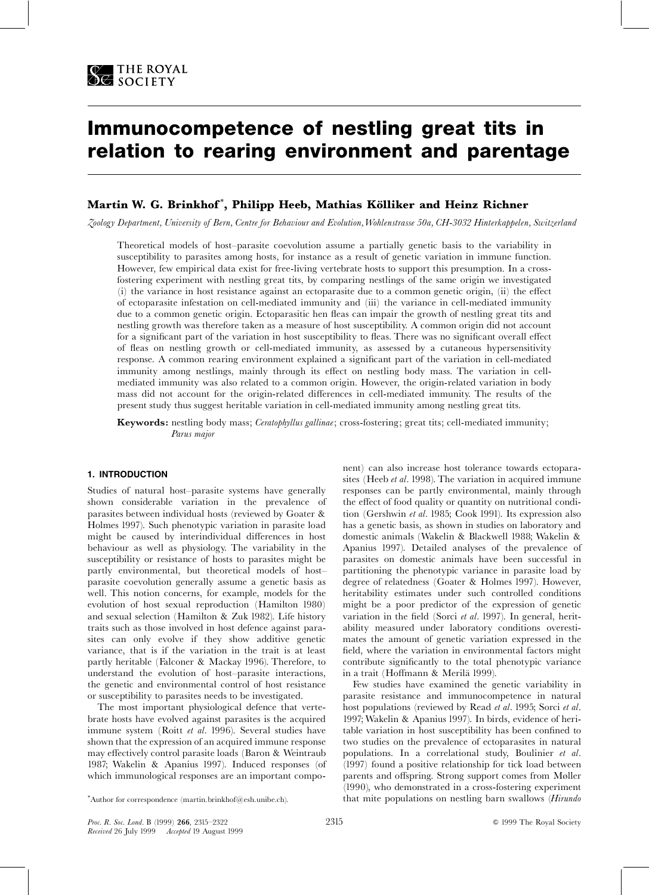

# Immunocompetence of nestling great tits in relation to rearing environment and parentage

# Martin W. G. Brinkhof\*, Philipp Heeb, Mathias Kölliker and Heinz Richner

Zoology Department, University of Bern, Centre for Behaviour and Evolution, Wohlenstrasse 50a, CH-3032 Hinterkappelen, Switzerland

Theoretical models of host-parasite coevolution assume a partially genetic basis to the variability in susceptibility to parasites among hosts, for instance as a result of genetic variation in immune function. However, few empirical data exist for free-living vertebrate hosts to support this presumption. In a crossfostering experiment with nestling great tits, by comparing nestlings of the same origin we investigated (i) the variance in host resistance against an ectoparasite due to a common genetic origin, (ii) the effect of ectoparasite infestation on cell-mediated immunity and (iii) the variance in cell-mediated immunity due to a common genetic origin. Ectoparasitic hen fleas can impair the growth of nestling great tits and nestling growth was therefore taken as a measure of host susceptibility. A common origin did not account for a significant part of the variation in host susceptibility to fleas. There was no significant overall effect of fleas on nestling growth or cell-mediated immunity, as assessed by a cutaneous hypersensitivity response. A common rearing environment explained a significant part of the variation in cell-mediated immunity among nestlings, mainly through its effect on nestling body mass. The variation in cellmediated immunity was also related to a common origin. However, the origin-related variation in body mass did not account for the origin-related differences in cell-mediated immunity. The results of the present study thus suggest heritable variation in cell-mediated immunity among nestling great tits.

**Keywords:** nestling body mass; *Ceratophyllus gallinae*; cross-fostering; great tits; cell-mediated immunity; Parus major

# 1. INTRODUCTION

Studies of natural host-parasite systems have generally shown considerable variation in the prevalence of parasites between individual hosts (reviewed by Goater & Holmes 1997). Such phenotypic variation in parasite load might be caused by interindividual differences in host behaviour as well as physiology. The variability in the susceptibility or resistance of hosts to parasites might be partly environmental, but theoretical models of hostparasite coevolution generally assume a genetic basis as well. This notion concerns, for example, models for the evolution of host sexual reproduction (Hamilton 1980) and sexual selection (Hamilton & Zuk 1982). Life history traits such as those involved in host defence against parasites can only evolve if they show additive genetic variance, that is if the variation in the trait is at least partly heritable (Falconer & Mackay 1996). Therefore, to understand the evolution of host-parasite interactions, the genetic and environmental control of host resistance or susceptibility to parasites needs to be investigated.

The most important physiological defence that vertebrate hosts have evolved against parasites is the acquired immune system (Roitt et al. 1996). Several studies have shown that the expression of an acquired immune response may effectively control parasite loads (Baron & Weintraub 1987; Wakelin & Apanius 1997). Induced responses (of which immunological responses are an important component) can also increase host tolerance towards ectoparasites (Heeb et al. 1998). The variation in acquired immune responses can be partly environmental, mainly through the effect of food quality or quantity on nutritional condition (Gershwin et al. 1985; Cook 1991). Its expression also has a genetic basis, as shown in studies on laboratory and domestic animals (Wakelin & Blackwell 1988; Wakelin & Apanius 1997). Detailed analyses of the prevalence of parasites on domestic animals have been successful in partitioning the phenotypic variance in parasite load by degree of relatedness (Goater & Holmes 1997). However, heritability estimates under such controlled conditions might be a poor predictor of the expression of genetic variation in the field (Sorci et al. 1997). In general, heritability measured under laboratory conditions overestimates the amount of genetic variation expressed in the field, where the variation in environmental factors might contribute significantly to the total phenotypic variance in a trait (Hoffmann & Merilä 1999).

Few studies have examined the genetic variability in parasite resistance and immunocompetence in natural host populations (reviewed by Read et al. 1995; Sorci et al. 1997; Wakelin & Apanius 1997). In birds, evidence of heritable variation in host susceptibility has been confined to two studies on the prevalence of ectoparasites in natural populations. In a correlational study, Boulinier et al. (1997) found a positive relationship for tick load between parents and offspring. Strong support comes from Møller (1990), who demonstrated in a cross-fostering experiment that mite populations on nestling barn swallows (*Hirundo* 

<sup>\*</sup>Author for correspondence (martin.brinkhof@esh.unibe.ch).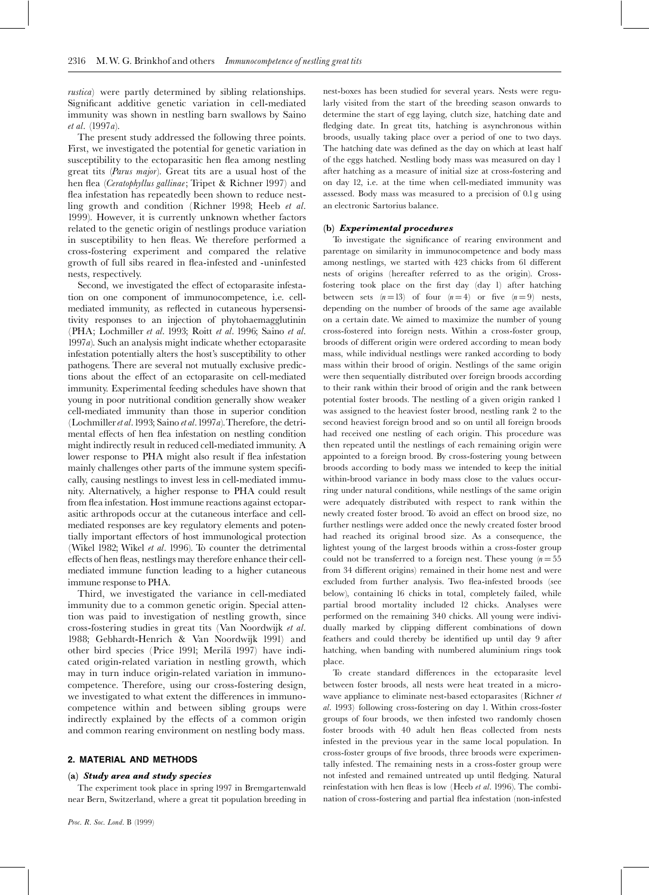*rustica*) were partly determined by sibling relationships. Significant additive genetic variation in cell-mediated immunity was shown in nestling barn swallows by Saino et al. (1997a).

The present study addressed the following three points. First, we investigated the potential for genetic variation in susceptibility to the ectoparasitic hen flea among nestling great tits (Parus major). Great tits are a usual host of the hen flea (Ceratophyllus gallinae; Tripet & Richner 1997) and flea infestation has repeatedly been shown to reduce nestling growth and condition (Richner 1998; Heeb et al. 1999). However, it is currently unknown whether factors related to the genetic origin of nestlings produce variation in susceptibility to hen fleas. We therefore performed a cross-fostering experiment and compared the relative growth of full sibs reared in flea-infested and -uninfested nests, respectively.

Second, we investigated the effect of ectoparasite infestation on one component of immunocompetence, i.e. cellmediated immunity, as reflected in cutaneous hypersensitivity responses to an injection of phytohaemagglutinin (PHA; Lochmiller et al. 1993; Roitt et al. 1996; Saino et al.  $1997a$ ). Such an analysis might indicate whether ectoparasite infestation potentially alters the host's susceptibility to other pathogens. There are several not mutually exclusive predictions about the effect of an ectoparasite on cell-mediated immunity. Experimental feeding schedules have shown that young in poor nutritional condition generally show weaker cell-mediated immunity than those in superior condition (Lochmiller et al. 1993; Saino et al. 1997a). Therefore, the detrimental effects of hen flea infestation on nestling condition might indirectly result in reduced cell-mediated immunity. A lower response to PHA might also result if flea infestation mainly challenges other parts of the immune system specifically, causing nestlings to invest less in cell-mediated immunity. Alternatively, a higher response to PHA could result from flea infestation. Host immune reactions against ectoparasitic arthropods occur at the cutaneous interface and cellmediated responses are key regulatory elements and potentially important effectors of host immunological protection (Wikel 1982; Wikel et al. 1996). To counter the detrimental effects of hen fleas, nestlings may therefore enhance their cellmediated immune function leading to a higher cutaneous immune response to PHA.

Third, we investigated the variance in cell-mediated immunity due to a common genetic origin. Special attention was paid to investigation of nestling growth, since cross-fostering studies in great tits (Van Noordwijk et al. 1988; Gebhardt-Henrich & Van Noordwijk 1991) and other bird species (Price 1991; Merilä 1997) have indicated origin-related variation in nestling growth, which may in turn induce origin-related variation in immunocompetence. Therefore, using our cross-fostering design, we investigated to what extent the differences in immunocompetence within and between sibling groups were indirectly explained by the effects of a common origin and common rearing environment on nestling body mass.

# 2. MATERIAL AND METHODS

#### (a) Study area and study species

The experiment took place in spring 1997 in Bremgartenwald near Bern, Switzerland, where a great tit population breeding in nest-boxes has been studied for several years. Nests were regularly visited from the start of the breeding season onwards to determine the start of egg laying, clutch size, hatching date and fledging date. In great tits, hatching is asynchronous within broods, usually taking place over a period of one to two days. The hatching date was defined as the day on which at least half of the eggs hatched. Nestling body mass was measured on day 1 after hatching as a measure of initial size at cross-fostering and on day 12, i.e. at the time when cell-mediated immunity was assessed. Body mass was measured to a precision of 0.1g using an electronic Sartorius balance.

#### (b) Experimental procedures

To investigate the significance of rearing environment and parentage on similarity in immunocompetence and body mass among nestlings, we started with 423 chicks from 61 different nests of origins (hereafter referred to as the origin). Crossfostering took place on the first day (day 1) after hatching between sets  $(n=13)$  of four  $(n=4)$  or five  $(n=9)$  nests, depending on the number of broods of the same age available on a certain date. We aimed to maximize the number of young cross-fostered into foreign nests. Within a cross-foster group, broods of different origin were ordered according to mean body mass, while individual nestlings were ranked according to body mass within their brood of origin. Nestlings of the same origin were then sequentially distributed over foreign broods according to their rank within their brood of origin and the rank between potential foster broods. The nestling of a given origin ranked 1 was assigned to the heaviest foster brood, nestling rank 2 to the second heaviest foreign brood and so on until all foreign broods had received one nestling of each origin. This procedure was then repeated until the nestlings of each remaining origin were appointed to a foreign brood. By cross-fostering young between broods according to body mass we intended to keep the initial within-brood variance in body mass close to the values occurring under natural conditions, while nestlings of the same origin were adequately distributed with respect to rank within the newly created foster brood. To avoid an effect on brood size, no further nestlings were added once the newly created foster brood had reached its original brood size. As a consequence, the lightest young of the largest broods within a cross-foster group could not be transferred to a foreign nest. These young  $(n=55$ from 34 different origins) remained in their home nest and were excluded from further analysis. Two flea-infested broods (see below), containing 16 chicks in total, completely failed, while partial brood mortality included 12 chicks. Analyses were performed on the remaining 340 chicks. All young were individually marked by clipping different combinations of down feathers and could thereby be identified up until day 9 after hatching, when banding with numbered aluminium rings took place.

To create standard differences in the ectoparasite level between foster broods, all nests were heat treated in a microwave appliance to eliminate nest-based ectoparasites (Richner et al. 1993) following cross-fostering on day 1. Within cross-foster groups of four broods, we then infested two randomly chosen foster broods with 40 adult hen fleas collected from nests infested in the previous year in the same local population. In cross-foster groups of five broods, three broods were experimentally infested. The remaining nests in a cross-foster group were not infested and remained untreated up until fledging. Natural reinfestation with hen fleas is low (Heeb et al. 1996). The combination of cross-fostering and partial flea infestation (non-infested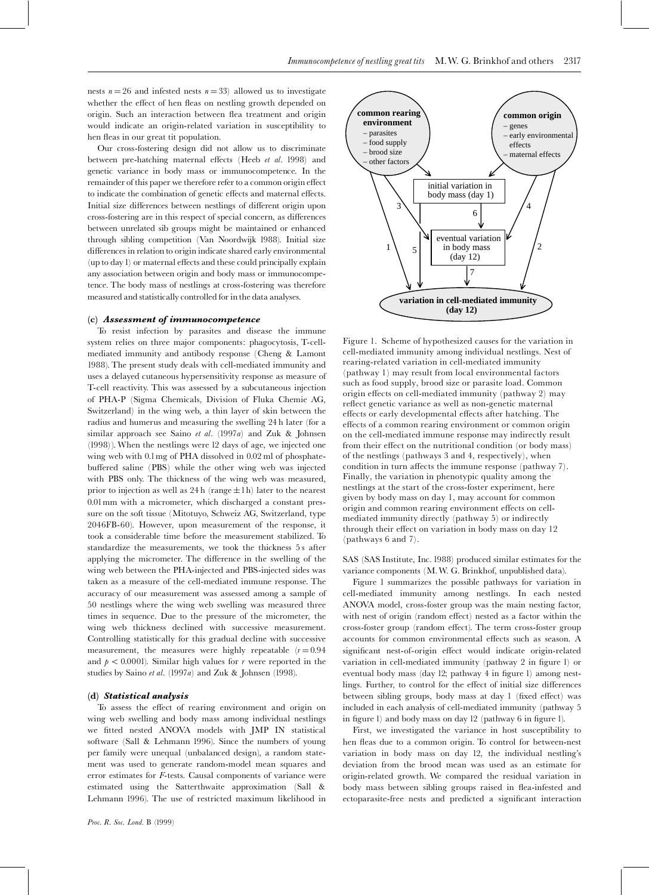nests  $n = 26$  and infested nests  $n = 33$  allowed us to investigate whether the effect of hen fleas on nestling growth depended on origin. Such an interaction between flea treatment and origin would indicate an origin-related variation in susceptibility to hen fleas in our great tit population.

Our cross-fostering design did not allow us to discriminate between pre-hatching maternal effects (Heeb et al. 1998) and genetic variance in body mass or immunocompetence. In the remainder of this paper we therefore refer to a common origin effect to indicate the combination of genetic effects and maternal effects. Initial size differences between nestlings of different origin upon cross-fostering are in this respect of special concern, as differences between unrelated sib groups might be maintained or enhanced through sibling competition (Van Noordwijk 1988). Initial size differences in relation to origin indicate shared early environmental (up to day 1) or maternal effects and these could principally explain any association between origin and body mass or immunocompetence. The body mass of nestlings at cross-fostering was therefore measured and statistically controlled for in the data analyses.

# (c) Assessment of immunocompetence

To resist infection by parasites and disease the immune system relies on three major components: phagocytosis, T-cellmediated immunity and antibody response (Cheng & Lamont 1988). The present study deals with cell-mediated immunity and uses a delayed cutaneous hypersensitivity response as measure of T-cell reactivity. This was assessed by a subcutaneous injection of PHA-P (Sigma Chemicals, Division of Fluka Chemie AG, Switzerland) in the wing web, a thin layer of skin between the radius and humerus and measuring the swelling 24 h later (for a similar approach see Saino *et al.* (1997*a*) and Zuk & Johnsen  $(1998)$ ). When the nestlings were 12 days of age, we injected one wing web with 0.1 mg of PHA dissolved in 0.02 ml of phosphatebuffered saline (PBS) while the other wing web was injected with PBS only. The thickness of the wing web was measured, prior to injection as well as  $24 h$  (range  $\pm 1 h$ ) later to the nearest 0.01 mm with a micrometer, which discharged a constant pressure on the soft tissue (Mitotuyo, Schweiz AG, Switzerland, type 2046FB-60). However, upon measurement of the response, it took a considerable time before the measurement stabilized. To standardize the measurements, we took the thickness 5s after applying the micrometer. The difference in the swelling of the wing web between the PHA-injected and PBS-injected sides was taken as a measure of the cell-mediated immune response. The accuracy of our measurement was assessed among a sample of 50 nestlings where the wing web swelling was measured three times in sequence. Due to the pressure of the micrometer, the wing web thickness declined with successive measurement. Controlling statistically for this gradual decline with successive measurement, the measures were highly repeatable  $(r=0.94)$ and  $p < 0.0001$ ). Similar high values for r were reported in the studies by Saino et al. (1997a) and Zuk & Johnsen (1998).

## (d) Statistical analysis

To assess the effect of rearing environment and origin on wing web swelling and body mass among individual nestlings we fitted nested ANOVA models with JMP IN statistical software (Sall & Lehmann 1996). Since the numbers of young per family were unequal (unbalanced design), a random statement was used to generate random-model mean squares and error estimates for F-tests. Causal components of variance were estimated using the Satterthwaite approximation (Sall & Lehmann 1996). The use of restricted maximum likelihood in



Figure 1. Scheme of hypothesized causes for the variation in cell-mediated immunity among individual nestlings. Nest of rearing-related variation in cell-mediated immunity (pathway 1) may result from local environmental factors such as food supply, brood size or parasite load. Common origin effects on cell-mediated immunity (pathway 2) may reflect genetic variance as well as non-genetic maternal effects or early developmental effects after hatching. The effects of a common rearing environment or common origin on the cell-mediated immune response may indirectly result from their effect on the nutritional condition (or body mass) of the nestlings (pathways 3 and 4, respectively), when condition in turn affects the immune response (pathway 7). Finally, the variation in phenotypic quality among the nestlings at the start of the cross-foster experiment, here given by body mass on day 1, may account for common origin and common rearing environment effects on cellmediated immunity directly (pathway 5) or indirectly through their effect on variation in body mass on day 12 (pathways 6 and 7).

SAS (SAS Institute, Inc. 1988) produced similar estimates for the variance components (M.W. G. Brinkhof, unpublished data).

Figure 1 summarizes the possible pathways for variation in cell-mediated immunity among nestlings. In each nested ANOVA model, cross-foster group was the main nesting factor, with nest of origin (random effect) nested as a factor within the cross-foster group (random effect). The term cross-foster group accounts for common environmental effects such as season. A significant nest-of-origin effect would indicate origin-related variation in cell-mediated immunity (pathway 2 in figure 1) or eventual body mass (day 12; pathway 4 in figure 1) among nestlings. Further, to control for the effect of initial size differences between sibling groups, body mass at day 1 (fixed effect) was included in each analysis of cell-mediated immunity (pathway 5 in figure 1) and body mass on day 12 (pathway 6 in figure 1).

First, we investigated the variance in host susceptibility to hen fleas due to a common origin. To control for between-nest variation in body mass on day 12, the individual nestling's deviation from the brood mean was used as an estimate for origin-related growth. We compared the residual variation in body mass between sibling groups raised in flea-infested and ectoparasite-free nests and predicted a significant interaction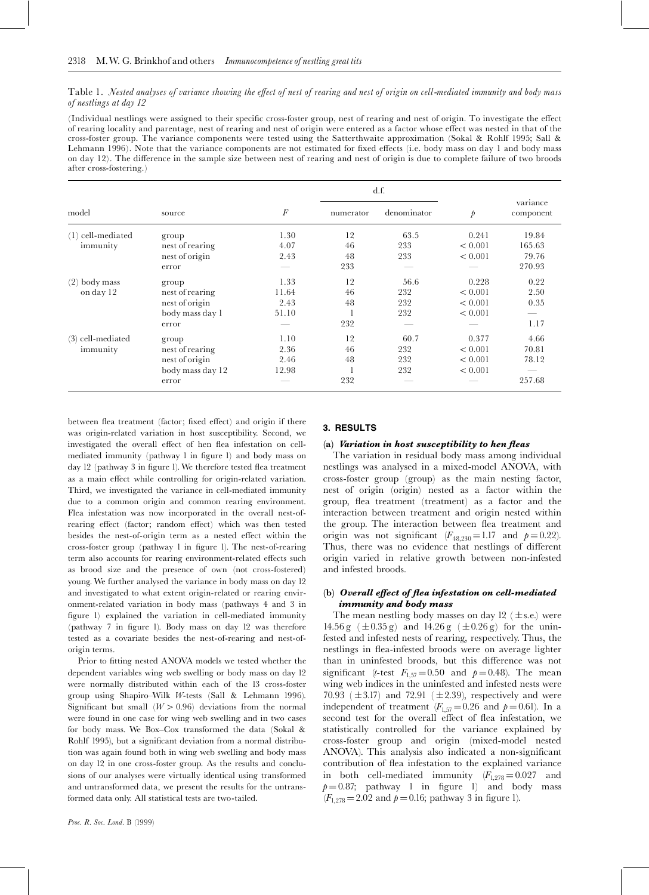Table 1. Nested analyses of variance showing the effect of nest of rearing and nest of origin on cell-mediated immunity and body mass of nestlings at day 12

(Individual nestlings were assigned to their specific cross-foster group, nest of rearing and nest of origin. To investigate the effect of rearing locality and parentage, nest of rearing and nest of origin were entered as a factor whose effect was nested in that of the cross-foster group. The variance components were tested using the Satterthwaite approximation (Sokal & Rohlf 1995; Sall & Lehmann 1996). Note that the variance components are not estimated for fixed effects (i.e. body mass on day 1 and body mass on day 12). The difference in the sample size between nest of rearing and nest of origin is due to complete failure of two broods after cross-fostering.)

|                                 |                  |                  | d.f.      |             |               |                       |
|---------------------------------|------------------|------------------|-----------|-------------|---------------|-----------------------|
| model                           | source           | $\boldsymbol{F}$ | numerator | denominator | $\mathcal{P}$ | variance<br>component |
| (1) cell-mediated<br>immunity   | group            | 1.30             | 12        | 63.5        | 0.241         | 19.84                 |
|                                 | nest of rearing  | 4.07             | 46        | 233         | < 0.001       | 165.63                |
|                                 | nest of origin   | 2.43             | 48        | 233         | < 0.001       | 79.76                 |
|                                 | error            |                  | 233       |             |               | 270.93                |
| (2) body mass<br>on day 12      | group            | 1.33             | 12        | 56.6        | 0.228         | 0.22                  |
|                                 | nest of rearing  | 11.64            | 46        | 232         | < 0.001       | 2.50                  |
|                                 | nest of origin   | 2.43             | 48        | 232         | < 0.001       | 0.35                  |
|                                 | body mass day 1  | 51.10            |           | 232         | < 0.001       |                       |
|                                 | error            |                  | 232       |             |               | 1.17                  |
| $(3)$ cell-mediated<br>immunity | group            | 1.10             | 12        | 60.7        | 0.377         | 4.66                  |
|                                 | nest of rearing  | 2.36             | 46        | 232         | < 0.001       | 70.81                 |
|                                 | nest of origin   | 2.46             | 48        | 232         | < 0.001       | 78.12                 |
|                                 | body mass day 12 | 12.98            |           | 232         | < 0.001       |                       |
|                                 | error            |                  | 232       |             |               | 257.68                |

between flea treatment (factor; fixed effect) and origin if there was origin-related variation in host susceptibility. Second, we investigated the overall effect of hen flea infestation on cellmediated immunity (pathway 1 in figure 1) and body mass on day 12 (pathway 3 in figure 1). We therefore tested flea treatment as a main effect while controlling for origin-related variation. Third, we investigated the variance in cell-mediated immunity due to a common origin and common rearing environment. Flea infestation was now incorporated in the overall nest-ofrearing effect (factor; random effect) which was then tested besides the nest-of-origin term as a nested effect within the cross-foster group (pathway 1 in figure 1). The nest-of-rearing term also accounts for rearing environment-related effects such as brood size and the presence of own (not cross-fostered) young. We further analysed the variance in body mass on day 12 and investigated to what extent origin-related or rearing environment-related variation in body mass (pathways 4 and 3 in figure 1) explained the variation in cell-mediated immunity (pathway 7 in figure 1). Body mass on day 12 was therefore tested as a covariate besides the nest-of-rearing and nest-oforigin terms.

Prior to fitting nested ANOVA models we tested whether the dependent variables wing web swelling or body mass on day 12 were normally distributed within each of the 13 cross-foster group using Shapiro-Wilk W-tests (Sall & Lehmann 1996). Significant but small  $(W > 0.96)$  deviations from the normal were found in one case for wing web swelling and in two cases for body mass. We Box-Cox transformed the data (Sokal & Rohlf 1995), but a significant deviation from a normal distribution was again found both in wing web swelling and body mass on day 12 in one cross-foster group. As the results and conclusions of our analyses were virtually identical using transformed and untransformed data, we present the results for the untransformed data only. All statistical tests are two-tailed.

#### 3. RESULTS

#### (a) Variation in host susceptibility to hen fleas

The variation in residual body mass among individual nestlings was analysed in a mixed-model ANOVA, with cross-foster group (group) as the main nesting factor, nest of origin (origin) nested as a factor within the group, flea treatment (treatment) as a factor and the interaction between treatment and origin nested within the group. The interaction between flea treatment and origin was not significant  $(F_{48,230} = 1.17$  and  $p = 0.22$ ). Thus, there was no evidence that nestlings of different origin varied in relative growth between non-infested and infested broods.

# (b) Overall effect of flea infestation on cell-mediated *immunity and body mass*

The mean nestling body masses on day 12 ( $\pm$ s.e.) were 14.56 g  $(\pm 0.35 \text{ g})$  and 14.26 g  $(\pm 0.26 \text{ g})$  for the uninfested and infested nests of rearing, respectively. Thus, the nestlings in flea-infested broods were on average lighter than in uninfested broods, but this difference was not significant (*t*-test  $F_{1,57} = 0.50$  and  $p = 0.48$ ). The mean wing web indices in the uninfested and infested nests were 70.93 ( $\pm$ 3.17) and 72.91 ( $\pm$ 2.39), respectively and were independent of treatment  $(F_{1.57} = 0.26$  and  $p = 0.61$ ). In a second test for the overall effect of flea infestation, we statistically controlled for the variance explained by cross-foster group and origin (mixed-model nested ANOVA). This analysis also indicated a non-significant contribution of flea infestation to the explained variance in both cell-mediated immunity  $(F_{1,278} = 0.027$  and  $p=0.87$ ; pathway 1 in figure 1) and body mass  $(F_{1.278} = 2.02$  and  $p = 0.16$ ; pathway 3 in figure 1).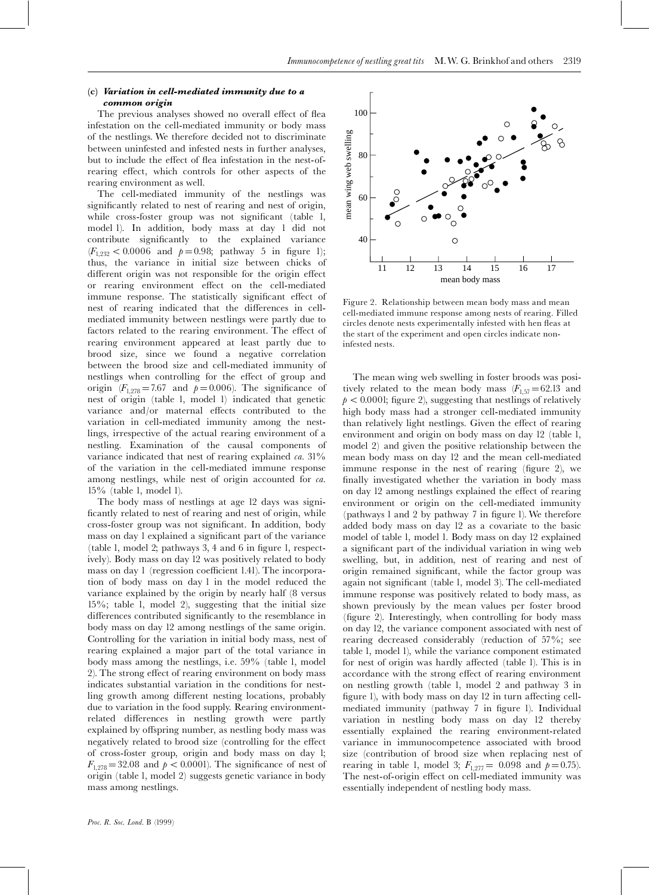# $(c)$  Variation in cell-mediated immunity due to a common origin

The previous analyses showed no overall effect of flea infestation on the cell-mediated immunity or body mass of the nestlings. We therefore decided not to discriminate between uninfested and infested nests in further analyses, but to include the effect of flea infestation in the nest-ofrearing effect, which controls for other aspects of the rearing environment as well.

The cell-mediated immunity of the nestlings was significantly related to nest of rearing and nest of origin, while cross-foster group was not significant (table 1, model 1). In addition, body mass at day 1 did not contribute significantly to the explained variance  $(F_{1,232} < 0.0006$  and  $p=0.98$ ; pathway 5 in figure 1); thus, the variance in initial size between chicks of different origin was not responsible for the origin effect or rearing environment effect on the cell-mediated immune response. The statistically significant effect of nest of rearing indicated that the differences in cellmediated immunity between nestlings were partly due to factors related to the rearing environment. The effect of rearing environment appeared at least partly due to brood size, since we found a negative correlation between the brood size and cell-mediated immunity of nestlings when controlling for the effect of group and origin  $(F_{1,278} = 7.67$  and  $p = 0.006$ ). The significance of nest of origin (table 1, model 1) indicated that genetic variance and/or maternal effects contributed to the variation in cell-mediated immunity among the nestlings, irrespective of the actual rearing environment of a nestling. Examination of the causal components of variance indicated that nest of rearing explained  $ca. 31\%$ of the variation in the cell-mediated immune response among nestlings, while nest of origin accounted for ca.  $15\%$  (table 1, model 1).

The body mass of nestlings at age 12 days was significantly related to nest of rearing and nest of origin, while cross-foster group was not significant. In addition, body mass on day 1 explained a significant part of the variance (table 1, model 2; pathways 3, 4 and 6 in figure 1, respectively). Body mass on day 12 was positively related to body mass on day 1 (regression coefficient 1.41). The incorporation of body mass on day 1 in the model reduced the variance explained by the origin by nearly half (8 versus  $15\%$ ; table 1, model 2), suggesting that the initial size differences contributed significantly to the resemblance in body mass on day 12 among nestlings of the same origin. Controlling for the variation in initial body mass, nest of rearing explained a major part of the total variance in body mass among the nestlings, i.e. 59% (table 1, model 2). The strong effect of rearing environment on body mass indicates substantial variation in the conditions for nestling growth among different nesting locations, probably due to variation in the food supply. Rearing environmentrelated differences in nestling growth were partly explained by offspring number, as nestling body mass was negatively related to brood size (controlling for the effect of cross-foster group, origin and body mass on day l;  $F_{1,278} = 32.08$  and  $p < 0.0001$ ). The significance of nest of origin (table 1, model 2) suggests genetic variance in body mass among nestlings.



Figure 2. Relationship between mean body mass and mean cell-mediated immune response among nests of rearing. Filled circles denote nests experimentally infested with hen fleas at the start of the experiment and open circles indicate noninfested nests.

The mean wing web swelling in foster broods was positively related to the mean body mass  $(F_{1,57} = 62.13$  and  $p < 0.0001$ ; figure 2), suggesting that nestlings of relatively high body mass had a stronger cell-mediated immunity than relatively light nestlings. Given the effect of rearing environment and origin on body mass on day 12 (table 1, model 2) and given the positive relationship between the mean body mass on day 12 and the mean cell-mediated immune response in the nest of rearing (figure 2), we finally investigated whether the variation in body mass on day 12 among nestlings explained the effect of rearing environment or origin on the cell-mediated immunity (pathways 1 and 2 by pathway 7 in figure 1). We therefore added body mass on day 12 as a covariate to the basic model of table 1, model 1. Body mass on day 12 explained a significant part of the individual variation in wing web swelling, but, in addition, nest of rearing and nest of origin remained significant, while the factor group was again not significant (table 1, model 3). The cell-mediated immune response was positively related to body mass, as shown previously by the mean values per foster brood (figure 2). Interestingly, when controlling for body mass on day 12, the variance component associated with nest of rearing decreased considerably (reduction of 57%; see table 1, model 1), while the variance component estimated for nest of origin was hardly affected (table 1). This is in accordance with the strong effect of rearing environment on nestling growth (table 1, model 2 and pathway 3 in figure 1), with body mass on day 12 in turn affecting cellmediated immunity (pathway 7 in figure 1). Individual variation in nestling body mass on day 12 thereby essentially explained the rearing environment-related variance in immunocompetence associated with brood size (contribution of brood size when replacing nest of rearing in table 1, model 3;  $F_{1,277} = 0.098$  and  $p = 0.75$ ). The nest-of-origin effect on cell-mediated immunity was essentially independent of nestling body mass.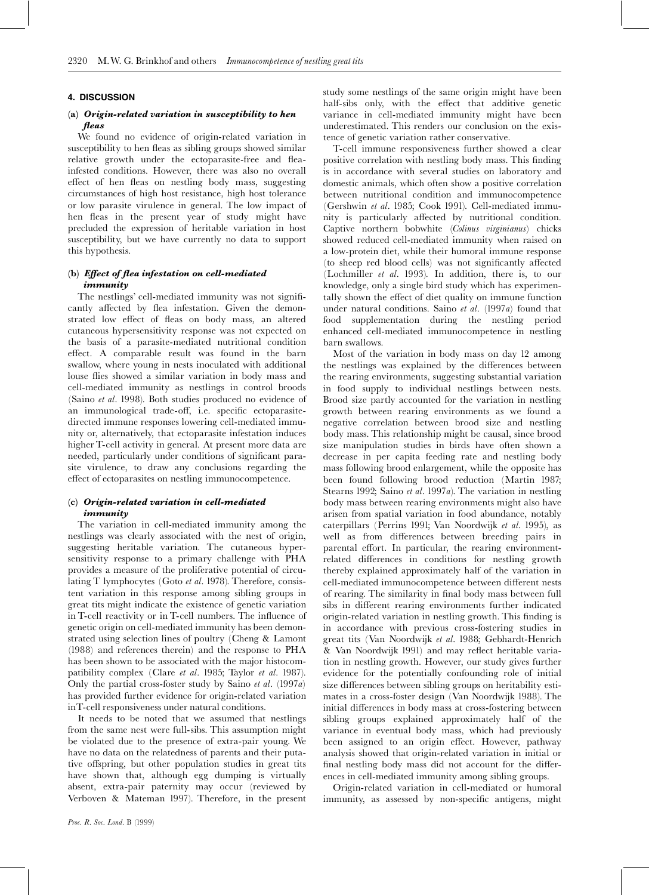#### **4. DISCUSSION**

## (a) Origin-related variation in susceptibility to hen fleas

We found no evidence of origin-related variation in susceptibility to hen fleas as sibling groups showed similar relative growth under the ectoparasite-free and fleainfested conditions. However, there was also no overall effect of hen fleas on nestling body mass, suggesting circumstances of high host resistance, high host tolerance or low parasite virulence in general. The low impact of hen fleas in the present year of study might have precluded the expression of heritable variation in host susceptibility, but we have currently no data to support this hypothesis.

# (b) Effect of flea infestation on cell-mediated  $\boldsymbol{immu}$

The nestlings' cell-mediated immunity was not significantly affected by flea infestation. Given the demonstrated low effect of fleas on body mass, an altered cutaneous hypersensitivity response was not expected on the basis of a parasite-mediated nutritional condition effect. A comparable result was found in the barn swallow, where young in nests inoculated with additional louse flies showed a similar variation in body mass and cell-mediated immunity as nestlings in control broods (Saino et al. 1998). Both studies produced no evidence of an immunological trade-off, i.e. specific ectoparasitedirected immune responses lowering cell-mediated immunity or, alternatively, that ectoparasite infestation induces higher T-cell activity in general. At present more data are needed, particularly under conditions of significant parasite virulence, to draw any conclusions regarding the effect of ectoparasites on nestling immunocompetence.

# (c) Origin-related variation in cell-mediated immunity

The variation in cell-mediated immunity among the nestlings was clearly associated with the nest of origin, suggesting heritable variation. The cutaneous hypersensitivity response to a primary challenge with PHA provides a measure of the proliferative potential of circulating T lymphocytes (Goto et al. 1978). Therefore, consistent variation in this response among sibling groups in great tits might indicate the existence of genetic variation in T-cell reactivity or in T-cell numbers. The influence of genetic origin on cell-mediated immunity has been demonstrated using selection lines of poultry (Cheng & Lamont (1988) and references therein) and the response to PHA has been shown to be associated with the major histocompatibility complex (Clare et al. 1985; Taylor et al. 1987). Only the partial cross-foster study by Saino et al.  $(1997a)$ has provided further evidence for origin-related variation in T-cell responsiveness under natural conditions.

It needs to be noted that we assumed that nestlings from the same nest were full-sibs. This assumption might be violated due to the presence of extra-pair young. We have no data on the relatedness of parents and their putative offspring, but other population studies in great tits have shown that, although egg dumping is virtually absent, extra-pair paternity may occur (reviewed by Verboven & Mateman 1997). Therefore, in the present

Proc. R. Soc. Lond. B (1999)

study some nestlings of the same origin might have been half-sibs only, with the effect that additive genetic variance in cell-mediated immunity might have been underestimated. This renders our conclusion on the existence of genetic variation rather conservative.

T-cell immune responsiveness further showed a clear positive correlation with nestling body mass. This finding is in accordance with several studies on laboratory and domestic animals, which often show a positive correlation between nutritional condition and immunocompetence (Gershwin et al. 1985; Cook 1991). Cell-mediated immunity is particularly affected by nutritional condition. Captive northern bobwhite (Colinus virginianus) chicks showed reduced cell-mediated immunity when raised on a low-protein diet, while their humoral immune response (to sheep red blood cells) was not significantly affected (Lochmiller et al. 1993). In addition, there is, to our knowledge, only a single bird study which has experimentally shown the effect of diet quality on immune function under natural conditions. Saino et al.  $(1997a)$  found that food supplementation during the nestling period enhanced cell-mediated immunocompetence in nestling barn swallows.

Most of the variation in body mass on day 12 among the nestlings was explained by the differences between the rearing environments, suggesting substantial variation in food supply to individual nestlings between nests. Brood size partly accounted for the variation in nestling growth between rearing environments as we found a negative correlation between brood size and nestling body mass. This relationship might be causal, since brood size manipulation studies in birds have often shown a decrease in per capita feeding rate and nestling body mass following brood enlargement, while the opposite has been found following brood reduction (Martin 1987; Stearns 1992; Saino et al. 1997a). The variation in nestling body mass between rearing environments might also have arisen from spatial variation in food abundance, notably caterpillars (Perrins 1991; Van Noordwijk et al. 1995), as well as from differences between breeding pairs in parental effort. In particular, the rearing environmentrelated differences in conditions for nestling growth thereby explained approximately half of the variation in cell-mediated immunocompetence between different nests of rearing. The similarity in final body mass between full sibs in different rearing environments further indicated origin-related variation in nestling growth. This finding is in accordance with previous cross-fostering studies in great tits (Van Noordwijk et al. 1988; Gebhardt-Henrich & Van Noordwijk 1991) and may reflect heritable variation in nestling growth. However, our study gives further evidence for the potentially confounding role of initial size differences between sibling groups on heritability estimates in a cross-foster design (Van Noordwijk 1988). The initial differences in body mass at cross-fostering between sibling groups explained approximately half of the variance in eventual body mass, which had previously been assigned to an origin effect. However, pathway analysis showed that origin-related variation in initial or final nestling body mass did not account for the differences in cell-mediated immunity among sibling groups.

Origin-related variation in cell-mediated or humoral immunity, as assessed by non-specific antigens, might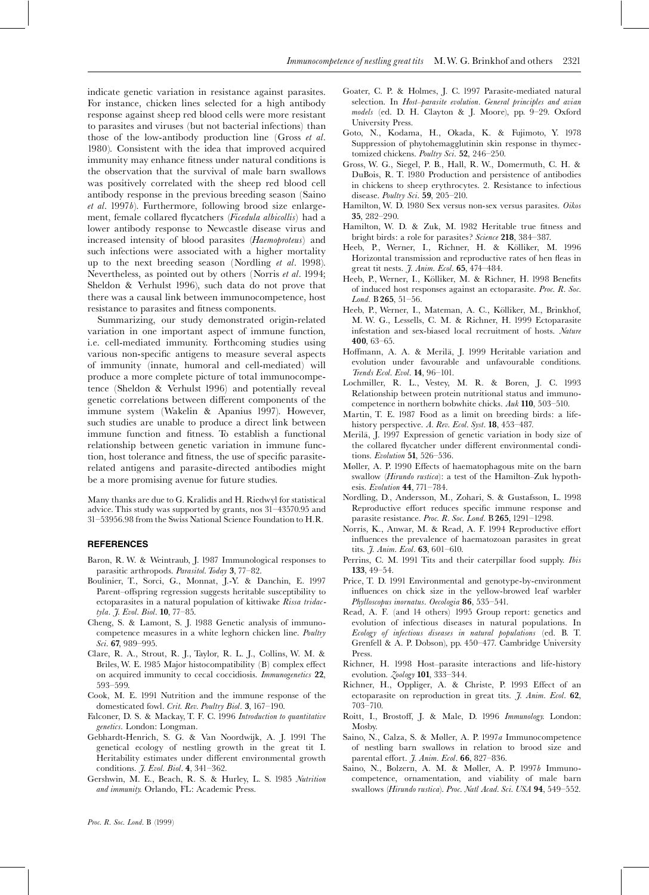indicate genetic variation in resistance against parasites. For instance, chicken lines selected for a high antibody response against sheep red blood cells were more resistant to parasites and viruses (but not bacterial infections) than those of the low-antibody production line (Gross et al. 1980). Consistent with the idea that improved acquired immunity may enhance fitness under natural conditions is the observation that the survival of male barn swallows was positively correlated with the sheep red blood cell antibody response in the previous breeding season (Saino et al. 1997b). Furthermore, following brood size enlargement, female collared flycatchers (Ficedula albicollis) had a lower antibody response to Newcastle disease virus and increased intensity of blood parasites (Haemoproteus) and such infections were associated with a higher mortality up to the next breeding season (Nordling et al. 1998). Nevertheless, as pointed out by others (Norris et al. 1994; Sheldon & Verhulst 1996), such data do not prove that there was a causal link between immunocompetence, host resistance to parasites and fitness components.

Summarizing, our study demonstrated origin-related variation in one important aspect of immune function, i.e. cell-mediated immunity. Forthcoming studies using various non-specific antigens to measure several aspects of immunity (innate, humoral and cell-mediated) will produce a more complete picture of total immunocompetence (Sheldon & Verhulst 1996) and potentially reveal genetic correlations between different components of the immune system (Wakelin & Apanius 1997). However, such studies are unable to produce a direct link between immune function and fitness. To establish a functional relationship between genetic variation in immune function, host tolerance and fitness, the use of specific parasiterelated antigens and parasite-directed antibodies might be a more promising avenue for future studies.

Many thanks are due to G. Kralidis and H. Riedwyl for statistical advice. This study was supported by grants, nos  $31-43570.95$  and 31-53956.98 from the Swiss National Science Foundation to H.R.

#### **REFERENCES**

- Baron, R. W. & Weintraub, J. 1987 Immunological responses to parasitic arthropods. Parasitol. Today 3, 77-82.
- Boulinier, T., Sorci, G., Monnat, J.-Y. & Danchin, E. 1997 Parent-offspring regression suggests heritable susceptibility to ectoparasites in a natural population of kittiwake Rissa tridactyla. J. Evol. Biol. 10, 77-85.
- Cheng, S. & Lamont, S. J. 1988 Genetic analysis of immunocompetence measures in a white leghorn chicken line. Poultry Sci. 67, 989-995.
- Clare, R. A., Strout, R. J., Taylor, R. L. J., Collins, W. M. & Briles, W. E. 1985 Major histocompatibility (B) complex effect on acquired immunity to cecal coccidiosis. Immunogenetics 22, 593-599.
- Cook, M. E. 1991 Nutrition and the immune response of the domesticated fowl. Crit. Rev. Poultry Biol. 3, 167-190.
- Falconer, D. S. & Mackay, T. F. C. 1996 Introduction to quantitative genetics. London: Longman.
- Gebhardt-Henrich, S. G. & Van Noordwijk, A. J. 1991 The genetical ecology of nestling growth in the great tit I. Heritability estimates under different environmental growth conditions. *J. Evol. Biol.* 4, 341-362.
- Gershwin, M. E., Beach, R. S. & Hurley, L. S. 1985 Nutrition and immunity. Orlando, FL: Academic Press.
- Goater, C. P. & Holmes, J. C. 1997 Parasite-mediated natural selection. In Host-parasite evolution. General principles and avian models (ed. D. H. Clayton & J. Moore), pp. 9-29. Oxford University Press.
- Goto, N., Kodama, H., Okada, K. & Fujimoto, Y. 1978 Suppression of phytohemagglutinin skin response in thymectomized chickens. Poultry Sci. 52, 246-250.
- Gross, W. G., Siegel, P. B., Hall, R. W., Domermuth, C. H. & DuBois, R. T. 1980 Production and persistence of antibodies in chickens to sheep erythrocytes. 2. Resistance to infectious disease. Poultry Sci. 59, 205-210.
- Hamilton, W. D. 1980 Sex versus non-sex versus parasites. Oikos 35, 282-290.
- Hamilton, W. D. & Zuk, M. 1982 Heritable true fitness and bright birds: a role for parasites? Science 218, 384-387.
- Heeb, P., Werner, I., Richner, H. & Kölliker, M. 1996 Horizontal transmission and reproductive rates of hen fleas in great tit nests. *J. Anim. Ecol.* 65, 474-484.
- Heeb, P., Werner, I., Kölliker, M. & Richner, H. 1998 Benefits of induced host responses against an ectoparasite. Proc. R. Soc. Lond. B 265, 51-56.
- Heeb, P., Werner, I., Mateman, A. C., Kölliker, M., Brinkhof, M. W. G., Lessells, C. M. & Richner, H. 1999 Ectoparasite infestation and sex-biased local recruitment of hosts. Nature 400,  $63-65$ .
- Hoffmann, A. A. & Merilä, J. 1999 Heritable variation and evolution under favourable and unfavourable conditions. Trends Ecol. Evol. 14, 96-101.
- Lochmiller, R. L., Vestey, M. R. & Boren, J. C. 1993 Relationship between protein nutritional status and immunocompetence in northern bobwhite chicks. Auk 110, 503-510.
- Martin, T. E. 1987 Food as a limit on breeding birds: a lifehistory perspective. A. Rev. Ecol. Syst. 18, 453-487.
- Merilä, J. 1997 Expression of genetic variation in body size of the collared flycatcher under different environmental conditions. Evolution 51, 526-536.
- Møller, A. P. 1990 Effects of haematophagous mite on the barn swallow (*Hirundo rustica*): a test of the Hamilton-Zuk hypothesis. Evolution 44, 771-784.
- Nordling, D., Andersson, M., Zohari, S. & Gustafsson, L. 1998 Reproductive effort reduces specific immune response and parasite resistance. Proc. R. Soc. Lond. B 265, 1291-1298.
- Norris, K., Anwar, M. & Read, A. F. 1994 Reproductive effort influences the prevalence of haematozoan parasites in great tits. *J. Anim. Ecol.* **63**, 601-610.
- Perrins, C. M. 1991 Tits and their caterpillar food supply. *Ibis* 133, 49-54.
- Price, T. D. 1991 Environmental and genotype-by-environment influences on chick size in the yellow-browed leaf warbler Phylloscopus inornatus. Oecologia 86, 535-541.
- Read, A. F. (and 14 others) 1995 Group report: genetics and evolution of infectious diseases in natural populations. In Ecology of infectious diseases in natural populations (ed. B. T. Grenfell & A. P. Dobson), pp. 450-477. Cambridge University Press.
- Richner, H. 1998 Host-parasite interactions and life-history evolution. Zoology 101, 333-344.
- Richner, H., Oppliger, A. & Christe, P. 1993 Effect of an ectoparasite on reproduction in great tits. J. Anim. Ecol. 62,  $703 - 710.$
- Roitt, I., Brostoff, J. & Male, D. 1996 Immunology. London: Mosby.
- Saino, N., Calza, S. & Møller, A. P. 1997a Immunocompetence of nestling barn swallows in relation to brood size and parental effort. *J. Anim. Ecol.* 66, 827-836.
- Saino, N., Bolzern, A. M. & Møller, A. P. 1997b Immunocompetence, ornamentation, and viability of male barn swallows (Hirundo rustica). Proc. Natl Acad. Sci. USA 94, 549-552.